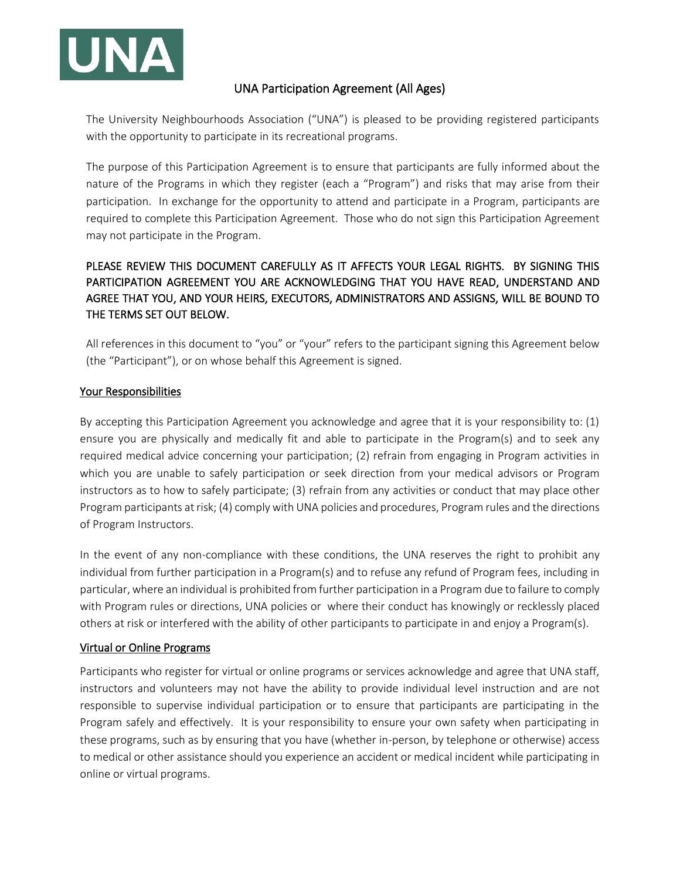

## UNA Participation Agreement (All Ages)

The University Neighbourhoods Association ("UNA") is pleased to be providing registered participants with the opportunity to participate in its recreational programs.

The purpose of this Participation Agreement is to ensure that participants are fully informed about the nature of the Programs in which they register (each a "Program") and risks that may arise from their participation. In exchange for the opportunity to attend and participate in a Program, participants are required to complete this Participation Agreement. Those who do not sign this Participation Agreement may not participate in the Program.

# PLEASE REVIEW THIS DOCUMENT CAREFULLY AS IT AFFECTS YOUR LEGAL RIGHTS. BY SIGNING THIS PARTICIPATION AGREEMENT YOU ARE ACKNOWLEDGING THAT YOU HAVE READ, UNDERSTAND AND AGREE THAT YOU, AND YOUR HEIRS, EXECUTORS, ADMINISTRATORS AND ASSIGNS, WILL BE BOUND TO THE TERMS SET OUT BELOW.

All references in this document to "you" or "your" refers to the participant signing this Agreement below (the "Participant"), or on whose behalf this Agreement is signed.

## Your Responsibilities

By accepting this Participation Agreement you acknowledge and agree that it is your responsibility to: (1) ensure you are physically and medically fit and able to participate in the Program(s) and to seek any required medical advice concerning your participation; (2) refrain from engaging in Program activities in which you are unable to safely participation or seek direction from your medical advisors or Program instructors as to how to safely participate; (3) refrain from any activities or conduct that may place other Program participants at risk; (4) comply with UNA policies and procedures, Program rules and the directions of Program Instructors.

In the event of any non-compliance with these conditions, the UNA reserves the right to prohibit any individual from further participation in a Program(s) and to refuse any refund of Program fees, including in particular, where an individual is prohibited from further participation in a Program due to failure to comply with Program rules or directions, UNA policies or where their conduct has knowingly or recklessly placed others at risk or interfered with the ability of other participants to participate in and enjoy a Program(s).

## Virtual or Online Programs

Participants who register for virtual or online programs or services acknowledge and agree that UNA staff, instructors and volunteers may not have the ability to provide individual level instruction and are not responsible to supervise individual participation or to ensure that participants are participating in the Program safely and effectively. It is your responsibility to ensure your own safety when participating in these programs, such as by ensuring that you have (whether in-person, by telephone or otherwise) access to medical or other assistance should you experience an accident or medical incident while participating in online or virtual programs.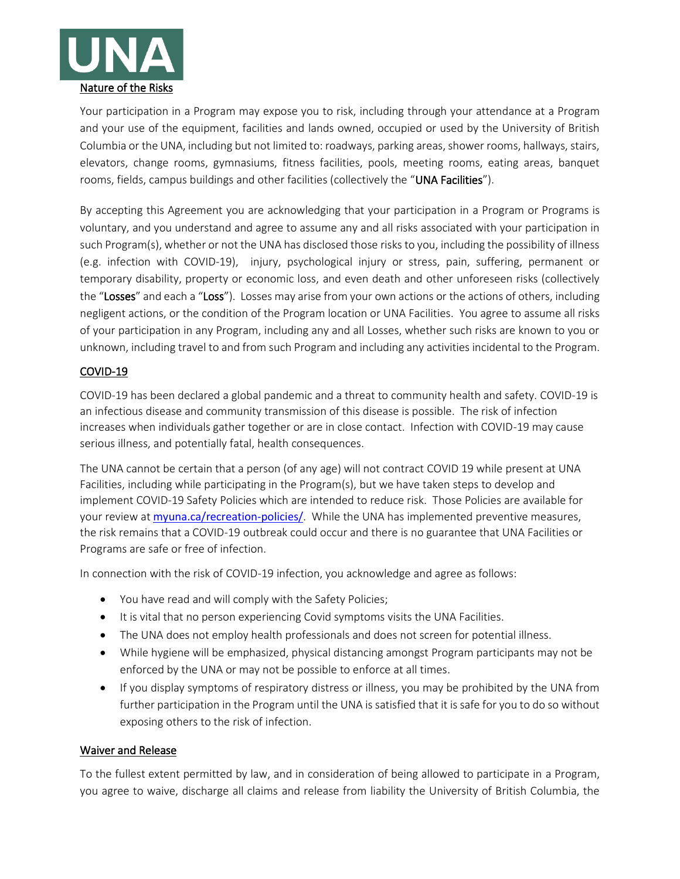

Your participation in a Program may expose you to risk, including through your attendance at a Program and your use of the equipment, facilities and lands owned, occupied or used by the University of British Columbia or the UNA, including but not limited to: roadways, parking areas, shower rooms, hallways, stairs, elevators, change rooms, gymnasiums, fitness facilities, pools, meeting rooms, eating areas, banquet rooms, fields, campus buildings and other facilities (collectively the "UNA Facilities").

By accepting this Agreement you are acknowledging that your participation in a Program or Programs is voluntary, and you understand and agree to assume any and all risks associated with your participation in such Program(s), whether or not the UNA has disclosed those risks to you, including the possibility of illness (e.g. infection with COVID-19), injury, psychological injury or stress, pain, suffering, permanent or temporary disability, property or economic loss, and even death and other unforeseen risks (collectively the "Losses" and each a "Loss"). Losses may arise from your own actions or the actions of others, including negligent actions, or the condition of the Program location or UNA Facilities. You agree to assume all risks of your participation in any Program, including any and all Losses, whether such risks are known to you or unknown, including travel to and from such Program and including any activities incidental to the Program.

## COVID-19

COVID-19 has been declared a global pandemic and a threat to community health and safety. COVID-19 is an infectious disease and community transmission of this disease is possible. The risk of infection increases when individuals gather together or are in close contact. Infection with COVID-19 may cause serious illness, and potentially fatal, health consequences.

The UNA cannot be certain that a person (of any age) will not contract COVID 19 while present at UNA Facilities, including while participating in the Program(s), but we have taken steps to develop and implement COVID-19 Safety Policies which are intended to reduce risk. Those Policies are available for your review at [myuna.ca/recreation-policies/](https://www.myuna.ca/recreation-policies/). While the UNA has implemented preventive measures, the risk remains that a COVID-19 outbreak could occur and there is no guarantee that UNA Facilities or Programs are safe or free of infection.

In connection with the risk of COVID-19 infection, you acknowledge and agree as follows:

- You have read and will comply with the Safety Policies;
- It is vital that no person experiencing Covid symptoms visits the UNA Facilities.
- The UNA does not employ health professionals and does not screen for potential illness.
- While hygiene will be emphasized, physical distancing amongst Program participants may not be enforced by the UNA or may not be possible to enforce at all times.
- If you display symptoms of respiratory distress or illness, you may be prohibited by the UNA from further participation in the Program until the UNA is satisfied that it is safe for you to do so without exposing others to the risk of infection.

## Waiver and Release

To the fullest extent permitted by law, and in consideration of being allowed to participate in a Program, you agree to waive, discharge all claims and release from liability the University of British Columbia, the